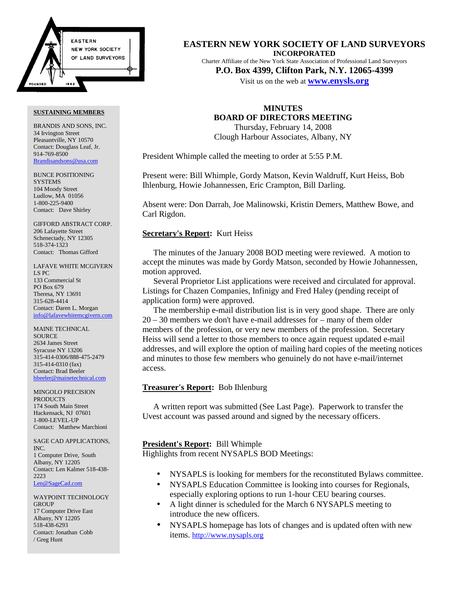

BRANDIS AND SONS, INC. 34 Irvington Street Pleasantville, NY 10570 Contact: Douglass Leaf, Jr. 914-769-8500 [Brandisandsons@usa.com](http://www.nysapls.org/)

BUNCE POSITIONING **SYSTEMS** 104 Moody Street Ludlow, MA 01056 1-800-225-9400 Contact: Dave Shirley

GIFFORD ABSTRACT CORP. 206 Lafayette Street Schenectady, NY 12305 518-374-1323 Contact: Thomas Gifford

LAFAVE WHITE MCGIVERN LS PC 133 Commercial St PO Box 679 Theresa, NY 13691 315-628-4414 Contact: Daren L. Morgan info@lafavewhitemcgivern.com

MAINE TECHNICAL SOURCE 2634 James Street Syracuse NY 13206 315-414-0306/888-475-2479 315-414-0310 (fax) Contact: Brad Beeler bbeeler@mainetechnical.com

MINGOLO PRECISION PRODUCTS 174 South Main Street Hackensack, NJ 07601 1-800-LEVEL-UP Contact: Matthew Marchioni

SAGE CAD APPLICATIONS, INC. 1 Computer Drive, South Albany, NY 12205 Contact: Len Kalmer 518-438- 2223 Len@SageCad.com

WAYPOINT TECHNOLOGY **GROUP** 17 Computer Drive East Albany, NY 12205 518-438-6293 Contact: Jonathan Cobb / Greg Hunt

**EASTERN NEW YORK SOCIETY OF LAND SURVEYORS INCORPORATED** Charter Affiliate of the New York State Association of Professional Land Surveyors

**P.O. Box 4399, Clifton Park, N.Y. 12065-4[399](http://www.nysapls.org/)**

Visit us on the web at **www.enysls.org**

# **MINUTES BOARD OF DIRECTORS MEETING**

Thursday, February 14, 2008 Clough Harbour Associates, Albany, NY

President Whimple called the meeting to order at 5:55 P.M.

Present were: Bill Whimple, Gordy Matson, Kevin Waldruff, Kurt Heiss, Bob Ihlenburg, Howie Johannessen, Eric Crampton, Bill Darling.

Absent were: Don Darrah, Joe Malinowski, Kristin Demers, Matthew Bowe, and Carl Rigdon.

# **Secretary's Report:** Kurt Heiss

The minutes of the January 2008 BOD meeting were reviewed. A motion to accept the minutes was made by Gordy Matson, seconded by Howie Johannessen, motion approved.

Several Proprietor List applications were received and circulated for approval. Listings for Chazen Companies, Infinigy and Fred Haley (pending receipt of application form) were approved.

The membership e-mail distribution list is in very good shape. There are only 20 – 30 members we don't have e-mail addresses for – many of them older members of the profession, or very new members of the profession. Secretary Heiss will send a letter to those members to once again request updated e-mail addresses, and will explore the option of mailing hard copies of the meeting notices and minutes to those few members who genuinely do not have e-mail/internet access.

# **Treasurer's Report:** Bob Ihlenburg

A written report was submitted (See Last Page). Paperwork to transfer the Uvest account was passed around and signed by the necessary officers.

# **President's Report:** Bill Whimple

Highlights from recent NYSAPLS BOD Meetings:

- NYSAPLS is looking for members for the reconstituted Bylaws committee.
- NYSAPLS Education Committee is looking into courses for Regionals, especially exploring options to run 1-hour CEU bearing courses.
- A light dinner is scheduled for the March 6 NYSAPLS meeting to introduce the new officers.
- NYSAPLS homepage has lots of changes and is updated often with new items. [http://www.nysapls.org](http://www.nysapls.org/)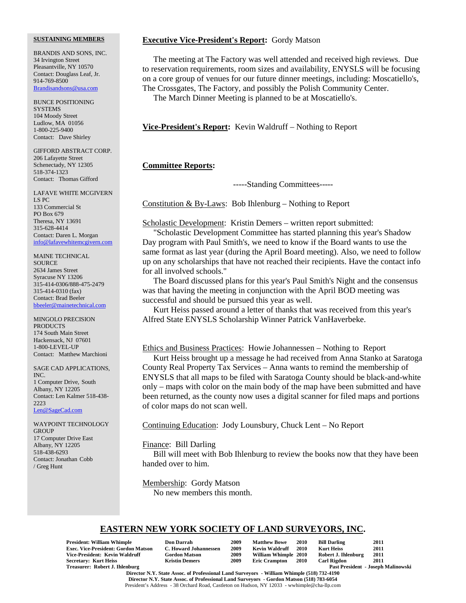BRANDIS AND SONS, INC. 34 Irvington Street Pleasantville, NY 10570 Contact: Douglass Leaf, Jr. 914-769-8500 [Brandisandsons@usa.com](http://www.nysapls.org/)

BUNCE POSITIONING **SYSTEMS** 104 Moody Street Ludlow, MA 01056 1-800-225-9400 Contact: Dave Shirley

GIFFORD ABSTRACT CORP. 206 Lafayette Street Schenectady, NY 12305 518-374-1323 Contact: Thomas Gifford

LAFAVE WHITE MCGIVERN LS PC 133 Commercial St PO Box 679 Theresa, NY 13691 315-628-4414 Contact: Daren L. Morgan info@lafavewhitemcgivern.com

MAINE TECHNICAL SOURCE 2634 James Street Syracuse NY 13206 315-414-0306/888-475-2479 315-414-0310 (fax) Contact: Brad Beeler bbeeler@mainetechnical.com

MINGOLO PRECISION **PRODUCTS** 174 South Main Street Hackensack, NJ 07601 1-800-LEVEL-UP Contact: Matthew Marchioni

SAGE CAD APPLICATIONS, INC. 1 Computer Drive, South Albany, NY 12205 Contact: Len Kalmer 518-438- 2223 Len@SageCad.com

WAYPOINT TECHNOLOGY **GROUP** 17 Computer Drive East Albany, NY 12205 518-438-6293 Contact: Jonathan Cobb / Greg Hunt

# **Executive Vice-President's Report:** Gordy Matson

The meeting at The Factory was well attended and received high reviews. Due to reservation requirements, room sizes and availability, ENYSLS will be focusing on a core group of venues for our future dinner meetings, including: Moscatiello's, The Crossgates, The Factory, and possibly the Polish Community Center.

The March Dinner Meeting is planned to be at Moscatiello's.

**Vice-President's Report:** Kevin Waldruff – Nothing to Report

# **Committee Reports:**

-----Standing Committees-----

Constitution & By-Laws: Bob Ihlenburg – Nothing to Report

Scholastic Development: Kristin Demers – written report submitted:

"Scholastic Development Committee has started planning this year's Shadow Day program with Paul Smith's, we need to know if the Board wants to use the same format as last year (during the April Board meeting). Also, we need to follow up on any scholarships that have not reached their recipients. Have the contact info for all involved schools."

The Board discussed plans for this year's Paul Smith's Night and the consensus was that having the meeting in conjunction with the April BOD meeting was successful and should be pursued this year as well.

Kurt Heiss passed around a letter of thanks that was received from this year's Alfred State ENYSLS Scholarship Winner Patrick VanHaverbeke.

Ethics and Business Practices: Howie Johannessen – Nothing to Report

Kurt Heiss brought up a message he had received from Anna Stanko at Saratoga County Real Property Tax Services – Anna wants to remind the membership of ENYSLS that all maps to be filed with Saratoga County should be black-and-white only – maps with color on the main body of the map have been submitted and have been returned, as the county now uses a digital scanner for filed maps and portions of color maps do not scan well.

Continuing Education: Jody Lounsbury, Chuck Lent – No Report

## Finance: Bill Darling

Bill will meet with Bob Ihlenburg to review the books now that they have been handed over to him.

Membership: Gordy Matson

No new members this month.

# **EASTERN NEW YORK SOCIETY OF LAND SURVEYORS, INC.**

| <b>President: William Whimple</b>          | <b>Don Darrah</b>     | 2009 | <b>Matthew Bowe</b>  | <b>2010</b> | <b>Bill Darling</b> | 2011                                      |
|--------------------------------------------|-----------------------|------|----------------------|-------------|---------------------|-------------------------------------------|
| <b>Exec. Vice-President: Gordon Matson</b> | C. Howard Johannessen | 2009 | Kevin Waldruff       | 2010        | Kurt Heiss          | 2011                                      |
| Vice-President: Kevin Waldruff             | <b>Gordon Matson</b>  | 2009 | William Whimple 2010 |             | Robert J. Ihlenburg | 2011                                      |
| Secretary: Kurt Heiss                      | <b>Kristin Demers</b> | 2009 | <b>Eric Crampton</b> | - 2010      | <b>Carl Rigdon</b>  | 2011                                      |
| Treasurer: Robert J. Ihlenburg             |                       |      |                      |             |                     | <b>Past President - Joseph Malinowski</b> |

**Director N.Y. State Assoc. of Professional Land Surveyors - William Whimple (518) 732-4190 Director N.Y. State Assoc. of Professional Land Surveyors - Gordon Matson (518) 783-6054** President's Address - 38 Orchard Road, Castleton on Hudson, NY 12033 - wwhimple@cha-llp.com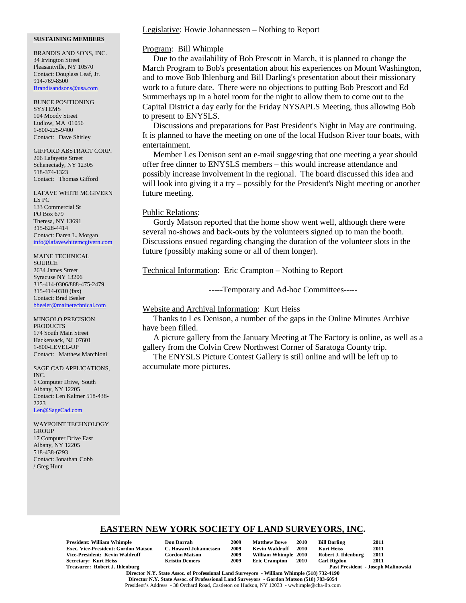BRANDIS AND SONS, INC. 34 Irvington Street Pleasantville, NY 10570 Contact: Douglass Leaf, Jr. 914-769-8500 [Brandisandsons@usa.com](http://www.nysapls.org/)

BUNCE POSITIONING **SYSTEMS** 104 Moody Street Ludlow, MA 01056 1-800-225-9400 Contact: Dave Shirley

GIFFORD ABSTRACT CORP. 206 Lafayette Street Schenectady, NY 12305 518-374-1323 Contact: Thomas Gifford

LAFAVE WHITE MCGIVERN LS PC 133 Commercial St PO Box 679 Theresa, NY 13691 315-628-4414 Contact: Daren L. Morgan info@lafavewhitemcgivern.com

MAINE TECHNICAL **SOURCE** 2634 James Street Syracuse NY 13206 315-414-0306/888-475-2479 315-414-0310 (fax) Contact: Brad Beeler bbeeler@mainetechnical.com

MINGOLO PRECISION **PRODUCTS** 174 South Main Street Hackensack, NJ 07601 1-800-LEVEL-UP Contact: Matthew Marchioni

SAGE CAD APPLICATIONS, INC. 1 Computer Drive, South Albany, NY 12205 Contact: Len Kalmer 518-438- 2223 Len@SageCad.com

WAYPOINT TECHNOLOGY **GROUP** 17 Computer Drive East Albany, NY 12205 518-438-6293 Contact: Jonathan Cobb / Greg Hunt

# Legislative: Howie Johannessen – Nothing to Report

## Program: Bill Whimple

Due to the availability of Bob Prescott in March, it is planned to change the March Program to Bob's presentation about his experiences on Mount Washington, and to move Bob Ihlenburg and Bill Darling's presentation about their missionary work to a future date. There were no objections to putting Bob Prescott and Ed Summerhays up in a hotel room for the night to allow them to come out to the Capital District a day early for the Friday NYSAPLS Meeting, thus allowing Bob to present to ENYSLS.

Discussions and preparations for Past President's Night in May are continuing. It is planned to have the meeting on one of the local Hudson River tour boats, with entertainment.

Member Les Denison sent an e-mail suggesting that one meeting a year should offer free dinner to ENYSLS members – this would increase attendance and possibly increase involvement in the regional. The board discussed this idea and will look into giving it a try – possibly for the President's Night meeting or another future meeting.

# Public Relations:

Gordy Matson reported that the home show went well, although there were several no-shows and back-outs by the volunteers signed up to man the booth. Discussions ensued regarding changing the duration of the volunteer slots in the future (possibly making some or all of them longer).

Technical Information: Eric Crampton – Nothing to Report

-----Temporary and Ad-hoc Committees-----

# Website and Archival Information: Kurt Heiss

Thanks to Les Denison, a number of the gaps in the Online Minutes Archive have been filled.

A picture gallery from the January Meeting at The Factory is online, as well as a gallery from the Colvin Crew Northwest Corner of Saratoga County trip.

The ENYSLS Picture Contest Gallery is still online and will be left up to accumulate more pictures.

# **EASTERN NEW YORK SOCIETY OF LAND SURVEYORS, INC.**

**President: William Whimple Don Darrah 2009 Matthew Bowe 2010 Bill Darling 2011 Exec. Vice-President: Gordon Matson C. Howard Johannessen 2009 Kevin Waldruff 2010 Kurt Heiss 2011 Vice-President: Kevin Waldruff Gordon Matson 2009 William Whimple 2010 Robert J. Ihlenburg 2011 Secretary: Kurt Heiss<br>Treasurer: Robert J. Ihlenburg** 

| Don Darrah           |
|----------------------|
| C. Howard Johannesse |
| Gordon Matson        |
| Kristin Demers       |

Past President - Joseph Malinowski **Director N.Y. State Assoc. of Professional Land Surveyors - William Whimple (518) 732-4190 Director N.Y. State Assoc. of Professional Land Surveyors - Gordon Matson (518) 783-6054** President's Address - 38 Orchard Road, Castleton on Hudson, NY 12033 - wwhimple@cha-llp.com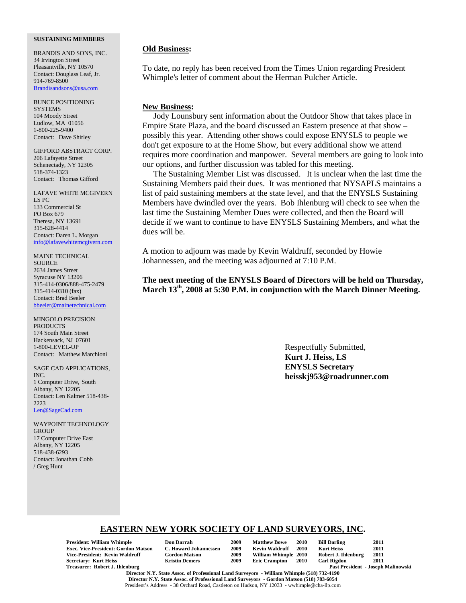BRANDIS AND SONS, INC. 34 Irvington Street Pleasantville, NY 10570 Contact: Douglass Leaf, Jr. 914-769-8500 [Brandisandsons@usa.com](http://www.nysapls.org/)

BUNCE POSITIONING **SYSTEMS** 104 Moody Street Ludlow, MA 01056 1-800-225-9400 Contact: Dave Shirley

GIFFORD ABSTRACT CORP. 206 Lafayette Street Schenectady, NY 12305 518-374-1323 Contact: Thomas Gifford

LAFAVE WHITE MCGIVERN LS PC 133 Commercial St PO Box 679 Theresa, NY 13691 315-628-4414 Contact: Daren L. Morgan info@lafavewhitemcgivern.com

MAINE TECHNICAL **SOURCE** 2634 James Street Syracuse NY 13206 315-414-0306/888-475-2479 315-414-0310 (fax) Contact: Brad Beeler bbeeler@mainetechnical.com

MINGOLO PRECISION PRODUCTS 174 South Main Street Hackensack, NJ 07601 1-800-LEVEL-UP Contact: Matthew Marchioni

SAGE CAD APPLICATIONS, INC. 1 Computer Drive, South Albany, NY 12205 Contact: Len Kalmer 518-438- 2223 Len@SageCad.com

WAYPOINT TECHNOLOGY **GROUP** 17 Computer Drive East Albany, NY 12205 518-438-6293 Contact: Jonathan Cobb / Greg Hunt

# **Old Business:**

To date, no reply has been received from the Times Union regarding President Whimple's letter of comment about the Herman Pulcher Article.

# **New Business:**

Jody Lounsbury sent information about the Outdoor Show that takes place in Empire State Plaza, and the board discussed an Eastern presence at that show – possibly this year. Attending other shows could expose ENYSLS to people we don't get exposure to at the Home Show, but every additional show we attend requires more coordination and manpower. Several members are going to look into our options, and further discussion was tabled for this meeting.

The Sustaining Member List was discussed. It is unclear when the last time the Sustaining Members paid their dues. It was mentioned that NYSAPLS maintains a list of paid sustaining members at the state level, and that the ENYSLS Sustaining Members have dwindled over the years. Bob Ihlenburg will check to see when the last time the Sustaining Member Dues were collected, and then the Board will decide if we want to continue to have ENYSLS Sustaining Members, and what the dues will be.

A motion to adjourn was made by Kevin Waldruff, seconded by Howie Johannessen, and the meeting was adjourned at 7:10 P.M.

**The next meeting of the ENYSLS Board of Directors will be held on Thursday, March 13th, 2008 at 5:30 P.M. in conjunction with the March Dinner Meeting.**

> Respectfully Submitted, **Kurt J. Heiss, LS ENYSLS Secretary heisskj953@roadrunner.com**

# **EASTERN NEW YORK SOCIETY OF LAND SURVEYORS, INC.**

**President: William Whimple Don Darrah 2009 Matthew Bowe 2010 Bill Darling 2011 Exec. Vice-President: Gordon Matson C. Howard Johannessen 2009 Kevin Waldruff 2010 Vice-President: Kevin Waldruff Gordon Matson 2009 William Whimple 2010 Robert J. Ihlenburg 2011 Secretary: Kurt Heiss<br>Treasurer: Robert J. Ihlenburg** 

| Don Darrah                 |
|----------------------------|
| <b>C. Howard Johanness</b> |
| <b>Gordon Matson</b>       |
| Kristin Demers             |

Past President - Joseph Malinowski

**Director N.Y. State Assoc. of Professional Land Surveyors - William Whimple (518) 732-4190 Director N.Y. State Assoc. of Professional Land Surveyors - Gordon Matson (518) 783-6054** President's Address - 38 Orchard Road, Castleton on Hudson, NY 12033 - wwhimple@cha-llp.com